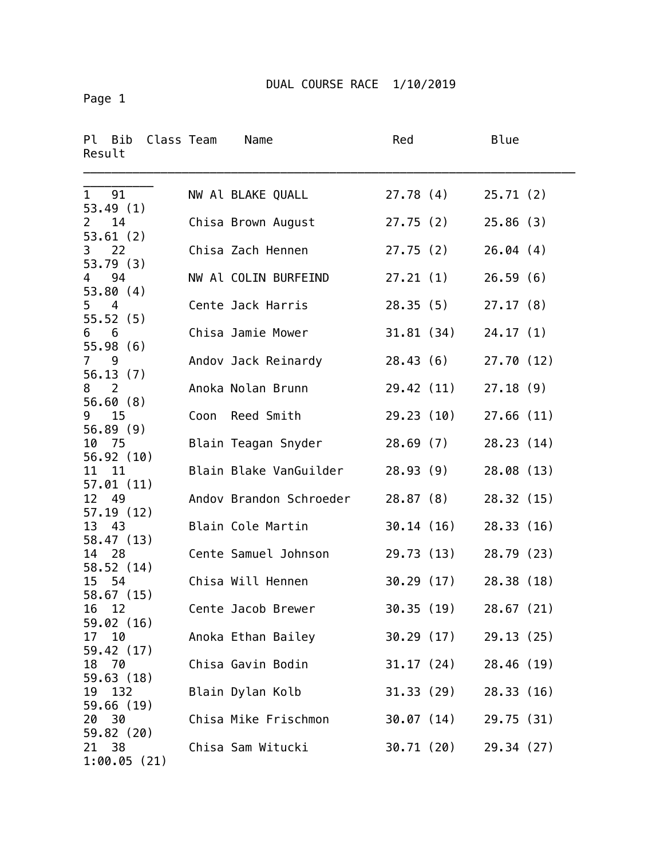Page 1

| Ρl<br>Bib Class Team<br>Result   |      | Name                    | Red        | Blue       |
|----------------------------------|------|-------------------------|------------|------------|
| 1<br>91<br>53.49(1)              |      | NW Al BLAKE QUALL       | 27.78(4)   | 25.71(2)   |
| 14<br>$\mathbf{2}$<br>53.61(2)   |      | Chisa Brown August      | 27.75(2)   | 25.86(3)   |
| 22<br>3<br>53.79(3)              |      | Chisa Zach Hennen       | 27.75(2)   | 26.04(4)   |
| 94<br>$\overline{4}$<br>53.80(4) |      | NW Al COLIN BURFEIND    | 27.21(1)   | 26.59(6)   |
| $5\quad 4$<br>55.52(5)           |      | Cente Jack Harris       | 28.35(5)   | 27.17(8)   |
| 6<br>6<br>55.98(6)               |      | Chisa Jamie Mower       | 31.81 (34) | 24.17(1)   |
| $7^{\circ}$<br>9<br>56.13(7)     |      | Andov Jack Reinardy     | 28.43(6)   | 27.70(12)  |
| 2<br>8<br>56.60(8)               |      | Anoka Nolan Brunn       | 29.42 (11) | 27.18(9)   |
| 9 15<br>56.89(9)                 | Coon | Reed Smith              | 29.23 (10) | 27.66(11)  |
| 75<br>10<br>56.92 (10)           |      | Blain Teagan Snyder     | 28.69(7)   | 28.23(14)  |
| 11<br>11<br>57.01(11)            |      | Blain Blake VanGuilder  | 28.93(9)   | 28.08 (13) |
| 12<br>49<br>57.19(12)            |      | Andov Brandon Schroeder | 28.87(8)   | 28.32 (15) |
| 13 43<br>58.47 (13)              |      | Blain Cole Martin       | 30.14(16)  | 28.33(16)  |
| 28<br>14<br>58.52 (14)           |      | Cente Samuel Johnson    | 29.73 (13) | 28.79 (23) |
| 15<br>54<br>58.67 (15)           |      | Chisa Will Hennen       | 30.29(17)  | 28.38 (18) |
| 16<br>12<br>59.02(16)            |      | Cente Jacob Brewer      | 30.35(19)  | 28.67(21)  |
| 10<br>17<br>59.42 (17)           |      | Anoka Ethan Bailey      | 30.29 (17) | 29.13(25)  |
| 70<br>18<br>59.63(18)            |      | Chisa Gavin Bodin       | 31.17 (24) | 28.46 (19) |
| 19<br>132<br>59.66 (19)          |      | Blain Dylan Kolb        | 31.33 (29) | 28.33(16)  |
| 30<br>20<br>59.82 (20)           |      | Chisa Mike Frischmon    | 30.07 (14) | 29.75 (31) |
| 38<br>21<br>1:00.05(21)          |      | Chisa Sam Witucki       | 30.71 (20) | 29.34 (27) |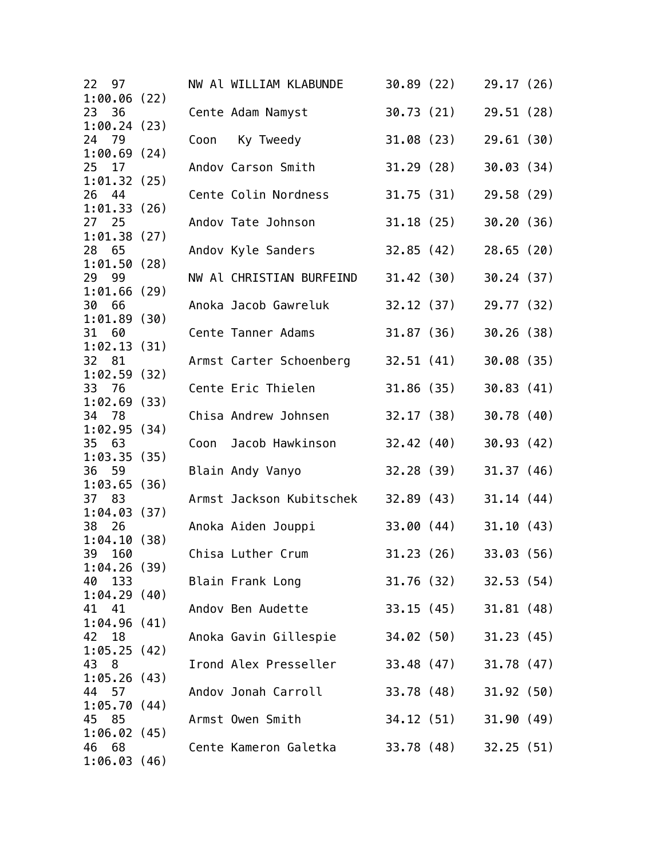| 22<br>97                 |      | NW Al WILLIAM KLABUNDE   | 30.89(22)               | 29.17 (26) |
|--------------------------|------|--------------------------|-------------------------|------------|
| 1:00.06(22)              |      |                          |                         |            |
| 23<br>36<br>1:00.24(23)  |      | Cente Adam Namyst        | 30.73 (21)              | 29.51 (28) |
| 24 79                    | Coon | Ky Tweedy                | 31.08 (23)              | 29.61(30)  |
| 1:00.69(24)              |      |                          |                         |            |
| 25<br>17                 |      | Andov Carson Smith       | 31.29(28)               | 30.03(34)  |
| 1:01.32(25)              |      |                          |                         |            |
| 26<br>44                 |      | Cente Colin Nordness     | 31.75(31)               | 29.58 (29) |
| 1:01.33(26)              |      |                          |                         |            |
| 27 25<br>1:01.38(27)     |      | Andov Tate Johnson       | 31.18(25)               | 30.20(36)  |
| 28 65                    |      | Andov Kyle Sanders       | 32.85(42)               | 28.65(20)  |
| 1:01.50(28)              |      |                          |                         |            |
| 29 99                    |      | NW Al CHRISTIAN BURFEIND | 31.42 (30)              | 30.24(37)  |
| 1:01.66(29)              |      |                          |                         |            |
| 66<br>30                 |      | Anoka Jacob Gawreluk     | 32.12 (37)              | 29.77 (32) |
| 1:01.89(30)              |      |                          |                         |            |
| 31<br>60<br>1:02.13(31)  |      | Cente Tanner Adams       | 31.87 (36)              | 30.26(38)  |
| 32 81                    |      | Armst Carter Schoenberg  | 32.51 (41)              | 30.08(35)  |
| 1:02.59(32)              |      |                          |                         |            |
| 33 76                    |      | Cente Eric Thielen       | 31.86 (35)              | 30.83(41)  |
| 1:02.69(33)              |      |                          |                         |            |
| 34 78                    |      | Chisa Andrew Johnsen     | 32.17(38)               | 30.78(40)  |
| 1:02.95(34)              |      |                          |                         |            |
| 35<br>63<br>1:03.35(35)  | Coon | Jacob Hawkinson          | 32.42(40)               | 30.93(42)  |
| 59<br>36                 |      | Blain Andy Vanyo         | 32.28(39)               | 31.37(46)  |
| 1:03.65(36)              |      |                          |                         |            |
| 37 83                    |      | Armst Jackson Kubitschek | 32.89(43)               | 31.14(44)  |
| 1:04.03(37)              |      |                          |                         |            |
| 38<br>26                 |      | Anoka Aiden Jouppi       | 33.00 (44)              | 31.10(43)  |
| 1:04.10(38)<br>39<br>160 |      | Chisa Luther Crum        | 31.23 (26)              | 33.03(56)  |
| 1:04.26(39)              |      |                          |                         |            |
| 133<br>40                |      | Blain Frank Long         | 31.76 (32) 32.53 (54)   |            |
| 1:04.29(40)              |      |                          |                         |            |
| 41 41                    |      | Andov Ben Audette        | 33.15 (45) 31.81 (48)   |            |
| 1:04.96(41)              |      |                          |                         |            |
| 42<br>18                 |      | Anoka Gavin Gillespie    | $34.02(50)$ $31.23(45)$ |            |
| 1:05.25(42)              |      | Irond Alex Presseller    |                         |            |
| 43<br>8<br>1:05.26(43)   |      |                          | 33.48 (47) 31.78 (47)   |            |
| 44 57                    |      | Andov Jonah Carroll      | 33.78 (48)              | 31.92(50)  |
| 1:05.70(44)              |      |                          |                         |            |
| 45 85                    |      | Armst Owen Smith         | 34.12 (51) 31.90 (49)   |            |
| 1:06.02(45)              |      |                          |                         |            |
| 46<br>- 68               |      | Cente Kameron Galetka    | 33.78 (48) 32.25 (51)   |            |
| 1:06.03(46)              |      |                          |                         |            |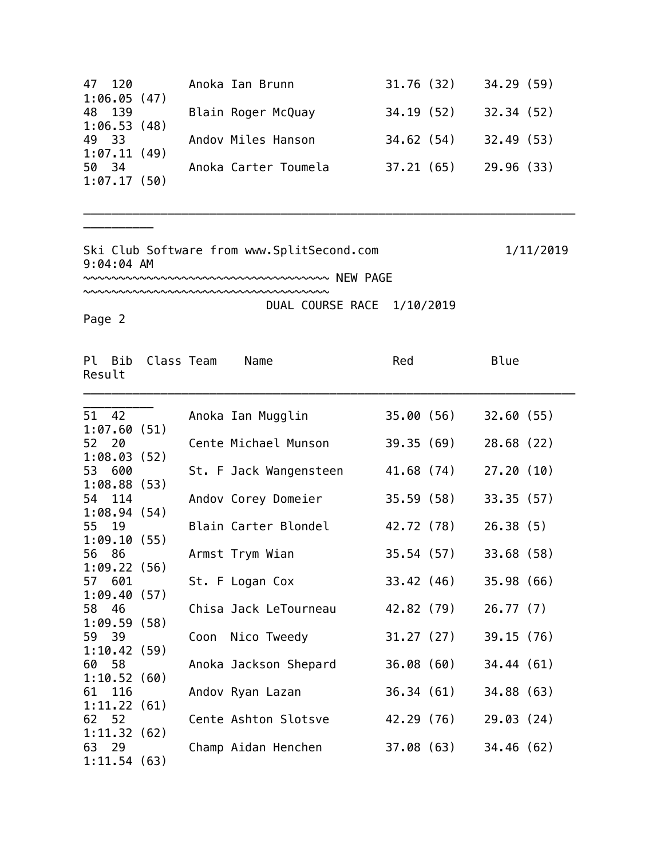| 47 120      | Anoka Ian Brunn      | 31.76(32) | 34.29(59)  |
|-------------|----------------------|-----------|------------|
| 1:06.05(47) |                      |           |            |
| 48 139      | Blain Roger McQuay   | 34.19(52) | 32.34(52)  |
| 1:06.53(48) |                      |           |            |
| 49 33       | Andov Miles Hanson   | 34.62(54) | 32.49(53)  |
| 1:07.11(49) |                      |           |            |
| 50 34       | Anoka Carter Toumela | 37.21(65) | 29.96 (33) |
| 1:07.17(50) |                      |           |            |

\_\_\_\_\_\_\_\_\_\_\_\_\_\_\_\_\_\_\_\_\_\_\_\_\_\_\_\_\_\_\_\_\_\_\_\_\_\_\_\_\_\_\_\_\_\_\_\_\_\_\_\_\_\_\_\_\_\_\_\_\_\_\_\_\_\_\_\_\_\_

Ski Club Software from www.SplitSecond.com 1/11/2019 9:04:04 AM

~~~~~~~~~~~~~~~~~~~~~~~~~~~~~~~~~~~ NEW PAGE

~~~~~~~~~~~~~~~~~~~~~~~~~~~~~~~~~~~ DUAL COURSE RACE 1/10/2019

Page 2

\_\_\_\_\_\_\_\_\_\_

| Result | Pl Bib                | Class Team | Name                   | Red        |            | Blue       |  |
|--------|-----------------------|------------|------------------------|------------|------------|------------|--|
|        | 51 42                 |            | Anoka Ian Mugglin      |            | 35.00 (56) | 32.60(55)  |  |
|        | 1:07.60(51)           |            |                        |            |            |            |  |
| 52 20  |                       |            | Cente Michael Munson   |            | 39.35 (69) | 28.68(22)  |  |
|        | 1:08.03(52)           |            |                        |            |            |            |  |
|        | 53 600                |            | St. F Jack Wangensteen |            | 41.68 (74) | 27.20(10)  |  |
|        | 1:08.88(53)           |            |                        |            |            |            |  |
|        | 54 114                |            | Andov Corey Domeier    |            | 35.59 (58) | 33.35(57)  |  |
|        | 1:08.94(54)           |            |                        |            |            |            |  |
| 55 19  |                       |            | Blain Carter Blondel   | 42.72 (78) |            | 26.38(5)   |  |
|        | 1:09.10(55)           |            |                        |            |            |            |  |
| 56 86  |                       |            | Armst Trym Wian        |            | 35.54 (57) | 33.68 (58) |  |
|        | 1:09.22(56)<br>57 601 |            |                        |            |            | 35.98 (66) |  |
|        | 1:09.40(57)           |            | St. F Logan Cox        | 33.42 (46) |            |            |  |
| 58 46  |                       |            | Chisa Jack LeTourneau  | 42.82 (79) |            | 26.77(7)   |  |
|        | 1:09.59(58)           |            |                        |            |            |            |  |
| 59 39  |                       |            | Coon Nico Tweedy       |            | 31.27 (27) | 39.15(76)  |  |
|        | 1:10.42(59)           |            |                        |            |            |            |  |
| 60 58  |                       |            | Anoka Jackson Shepard  | 36.08(60)  |            | 34.44(61)  |  |
|        | 1:10.52(60)           |            |                        |            |            |            |  |
|        | 61 116                |            | Andov Ryan Lazan       |            | 36.34 (61) | 34.88 (63) |  |
|        | 1:11.22(61)           |            |                        |            |            |            |  |
| 62 52  |                       |            | Cente Ashton Slotsve   |            | 42.29 (76) | 29.03(24)  |  |
|        | 1:11.32(62)           |            |                        |            |            |            |  |
| 63 29  |                       |            | Champ Aidan Henchen    |            | 37.08 (63) | 34.46(62)  |  |
|        | 1:11.54(63)           |            |                        |            |            |            |  |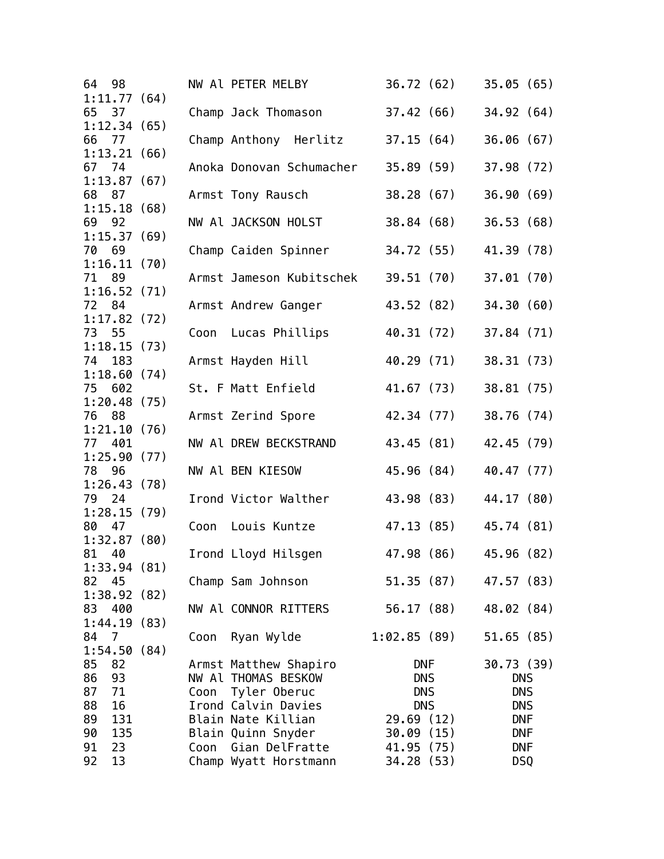| 64<br>98             |      | NW Al PETER MELBY        | 36.72 (62)  | 35.05(65)  |
|----------------------|------|--------------------------|-------------|------------|
| 1:11.77(64)          |      |                          |             |            |
| 65<br>37             |      | Champ Jack Thomason      | 37.42 (66)  | 34.92 (64) |
| 1:12.34(65)          |      |                          |             |            |
| 66 77                |      | Champ Anthony Herlitz    | 37.15 (64)  | 36.06(67)  |
| 1:13.21(66)          |      |                          |             |            |
| 67 74                |      | Anoka Donovan Schumacher | 35.89 (59)  | 37.98 (72) |
| 1:13.87(67)          |      |                          |             |            |
| 68 87                |      | Armst Tony Rausch        | 38.28 (67)  | 36.90(69)  |
| 1:15.18(68)          |      |                          |             |            |
| 69<br>92             |      | NW Al JACKSON HOLST      | 38.84(68)   | 36.53(68)  |
| 1:15.37(69)          |      |                          |             |            |
| 70 69                |      | Champ Caiden Spinner     | 34.72 (55)  | 41.39 (78) |
| 1:16.11(70)          |      |                          |             |            |
| 71 89                |      | Armst Jameson Kubitschek | 39.51 (70)  | 37.01(70)  |
| 1:16.52(71)          |      |                          |             |            |
| 72 84                |      | Armst Andrew Ganger      | 43.52 (82)  | 34.30(60)  |
| 1:17.82(72)          |      |                          |             |            |
| 73 55                |      | Coon Lucas Phillips      | 40.31 (72)  | 37.84 (71) |
| 1:18.15(73)          |      |                          |             |            |
| 74<br>183            |      |                          | 40.29 (71)  |            |
|                      |      | Armst Hayden Hill        |             | 38.31 (73) |
| 1:18.60(74)          |      |                          |             |            |
| 75 602               |      | St. F Matt Enfield       | 41.67 (73)  | 38.81 (75) |
| 1:20.48(75)          |      |                          |             |            |
| 76 88                |      | Armst Zerind Spore       | 42.34 (77)  | 38.76 (74) |
| 1:21.10(76)          |      |                          |             |            |
| 77 401               |      | NW Al DREW BECKSTRAND    | 43.45 (81)  | 42.45 (79) |
| 1:25.90(77)          |      |                          |             |            |
| 78<br>96             |      | NW Al BEN KIESOW         | 45.96 (84)  | 40.47 (77) |
| 1:26.43(78)          |      |                          |             |            |
| 79 24                |      | Irond Victor Walther     | 43.98 (83)  | 44.17 (80) |
| 1:28.15(79)          |      |                          |             |            |
| 80 47                |      | Coon Louis Kuntze        | 47.13 (85)  | 45.74 (81) |
| 1:32.87(80)          |      |                          |             |            |
| 81 40                |      | Irond Lloyd Hilsgen      | 47.98 (86)  | 45.96 (82) |
| 1:33.94(81)          |      |                          |             |            |
| 82<br>45             |      | Champ Sam Johnson        | 51.35(87)   | 47.57 (83) |
| 1:38.92(82)          |      |                          |             |            |
| 83 400               |      | NW Al CONNOR RITTERS     | 56.17 (88)  | 48.02 (84) |
| 1:44.19(83)          |      |                          |             |            |
| 84<br>$\overline{7}$ | Coon | Ryan Wylde               | 1:02.85(89) | 51.65(85)  |
| 1:54.50(84)          |      |                          |             |            |
| 85<br>82             |      | Armst Matthew Shapiro    | DNF         | 30.73 (39) |
| 86<br>93             |      | NW Al THOMAS BESKOW      | <b>DNS</b>  | <b>DNS</b> |
| 87<br>71             |      | Coon Tyler Oberuc        | <b>DNS</b>  | <b>DNS</b> |
| 88<br>16             |      | Irond Calvin Davies      | <b>DNS</b>  | <b>DNS</b> |
| 89<br>131            |      | Blain Nate Killian       | 29.69(12)   | <b>DNF</b> |
| 90<br>135            |      | Blain Quinn Snyder       | 30.09(15)   | <b>DNF</b> |
| 91<br>23             |      | Coon Gian DelFratte      | 41.95 (75)  | <b>DNF</b> |
|                      |      |                          |             |            |
| 92<br>13             |      | Champ Wyatt Horstmann    | 34.28 (53)  | <b>DSQ</b> |